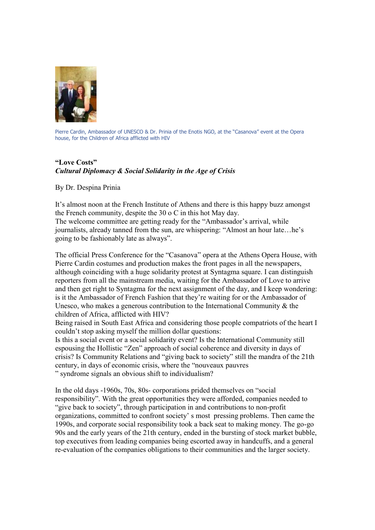

Pierre Cardin, Ambassador of UNESCO & Dr. Prinia of the Enotis NGO, at the "Casanova" event at the Opera house, for the Children of Africa afflicted with HIV

## **"Love Costs"** *Cultural Diplomacy & Social Solidarity in the Age of Crisis*

## By Dr. Despina Prinia

It's almost noon at the French Institute of Athens and there is this happy buzz amongst the French community, despite the 30 o C in this hot May day. The welcome committee are getting ready for the "Ambassador's arrival, while journalists, already tanned from the sun, are whispering: "Almost an hour late…he's going to be fashionably late as always".

The official Press Conference for the "Casanova" opera at the Athens Opera House, with Pierre Cardin costumes and production makes the front pages in all the newspapers, although coinciding with a huge solidarity protest at Syntagma square. I can distinguish reporters from all the mainstream media, waiting for the Ambassador of Love to arrive and then get right to Syntagma for the next assignment of the day, and I keep wondering: is it the Ambassador of French Fashion that they're waiting for or the Ambassador of Unesco, who makes a generous contribution to the International Community  $\&$  the children of Africa, afflicted with HIV?

Being raised in South East Africa and considering those people compatriots of the heart I couldn't stop asking myself the million dollar questions:

Is this a social event or a social solidarity event? Is the International Community still espousing the Hollistic "Zen" approach of social coherence and diversity in days of crisis? Is Community Relations and "giving back to society" still the mandra of the 21th century, in days of economic crisis, where the "nouveaux pauvres " syndrome signals an obvious shift to individualism?

In the old days -1960s, 70s, 80s- corporations prided themselves on "social responsibility". With the great opportunities they were afforded, companies needed to "give back to society", through participation in and contributions to non-profit organizations, committed to confront society' s most pressing problems. Then came the 1990s, and corporate social responsibility took a back seat to making money. The go-go 90s and the early years of the 21th century, ended in the bursting of stock market bubble, top executives from leading companies being escorted away in handcuffs, and a general re-evaluation of the companies obligations to their communities and the larger society.